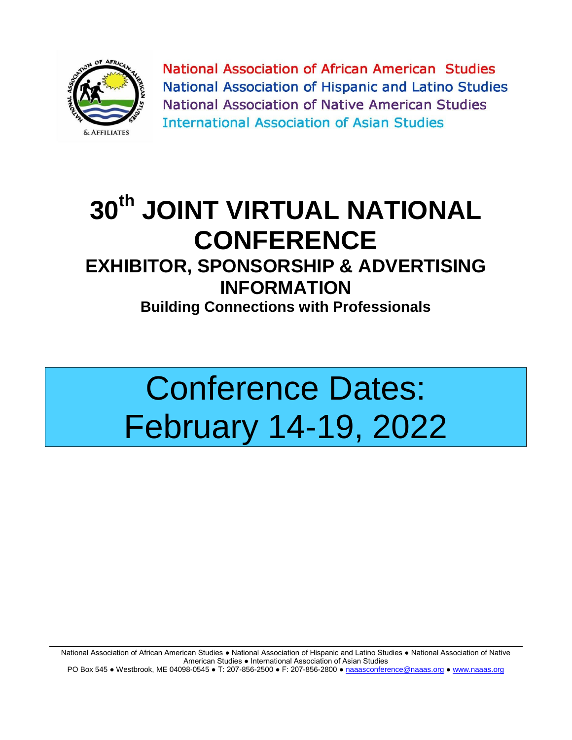

National Association of African American Studies National Association of Hispanic and Latino Studies National Association of Native American Studies **International Association of Asian Studies** 

## **30th JOINT VIRTUAL NATIONAL CONFERENCE**

## **EXHIBITOR, SPONSORSHIP & ADVERTISING INFORMATION**

**Building Connections with Professionals**

# Conference Dates: February 14-19, 2022

National Association of African American Studies ● National Association of Hispanic and Latino Studies ● National Association of Native American Studies ● International Association of Asian Studies PO Box 545 ● Westbrook, ME 04098-0545 ● T: 207-856-2500 ● F: 207-856-2800 [● naaasconference@naaas.org](mailto:naaasconference@naaas.org) [● www.naaas.org](http://www.naaas.org/)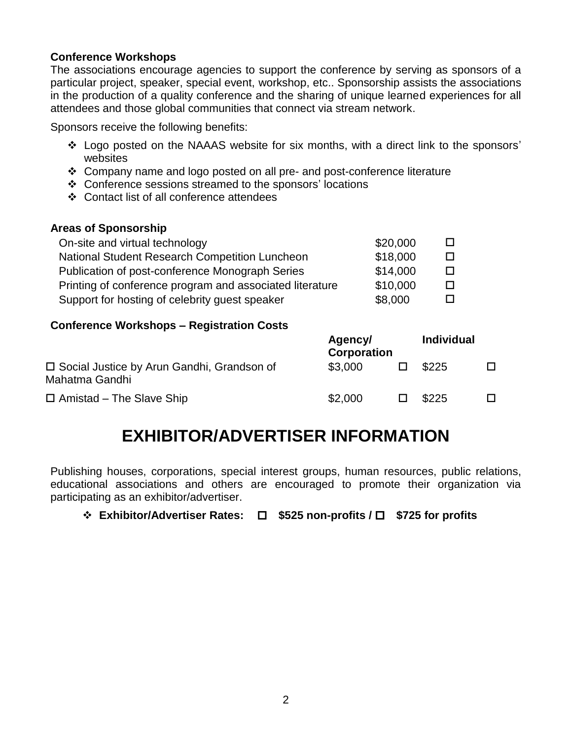#### **Conference Workshops**

The associations encourage agencies to support the conference by serving as sponsors of a particular project, speaker, special event, workshop, etc.. Sponsorship assists the associations in the production of a quality conference and the sharing of unique learned experiences for all attendees and those global communities that connect via stream network.

Sponsors receive the following benefits:

- Logo posted on the NAAAS website for six months, with a direct link to the sponsors' websites
- Company name and logo posted on all pre- and post-conference literature
- Conference sessions streamed to the sponsors' locations
- Contact list of all conference attendees

#### **Areas of Sponsorship**

| On-site and virtual technology                           | \$20,000 |              |
|----------------------------------------------------------|----------|--------------|
| <b>National Student Research Competition Luncheon</b>    | \$18,000 | $\mathbf{I}$ |
| Publication of post-conference Monograph Series          | \$14,000 | $\mathbf{I}$ |
| Printing of conference program and associated literature | \$10,000 | $\mathbf{I}$ |
| Support for hosting of celebrity guest speaker           | \$8,000  |              |

#### **Conference Workshops – Registration Costs**

|                                                                | Agency/<br><b>Corporation</b> |  | <b>Individual</b> |  |
|----------------------------------------------------------------|-------------------------------|--|-------------------|--|
| □ Social Justice by Arun Gandhi, Grandson of<br>Mahatma Gandhi | \$3,000                       |  | \$225             |  |
| $\Box$ Amistad – The Slave Ship                                | \$2,000                       |  | \$225             |  |

## **EXHIBITOR/ADVERTISER INFORMATION**

Publishing houses, corporations, special interest groups, human resources, public relations, educational associations and others are encouraged to promote their organization via participating as an exhibitor/advertiser.

**Exhibitor/Advertiser Rates: \$525 non-profits / \$725 for profits**